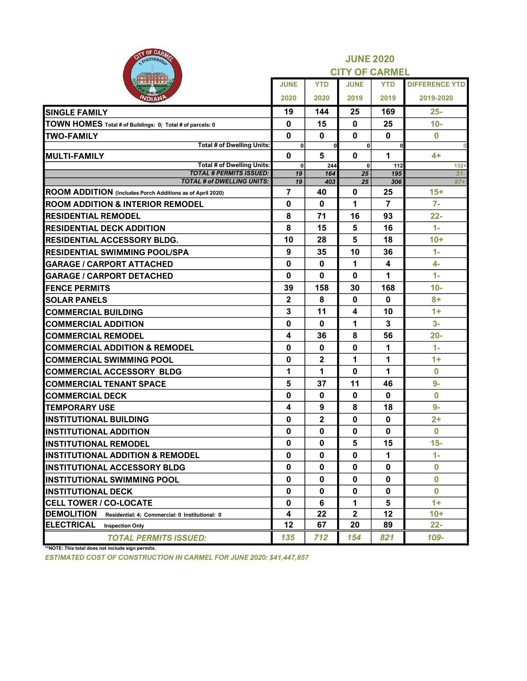| <b>AITY OF CARAZ</b><br>PARTNERSHIP                                 |                   | <b>JUNE 2020</b><br><b>CITY OF CARMEL</b> |                   |                      |                       |  |  |  |  |
|---------------------------------------------------------------------|-------------------|-------------------------------------------|-------------------|----------------------|-----------------------|--|--|--|--|
|                                                                     | <b>JUNE</b>       | <b>YTD</b>                                | <b>JUNE</b>       | <b>YTD</b>           | <b>DIFFERENCE YTD</b> |  |  |  |  |
| омо<br>VDIANP                                                       | 2020              | 2020                                      | 2019              | 2019                 | 2019-2020             |  |  |  |  |
| <b>SINGLE FAMILY</b>                                                | 19                | 144                                       | 25                | 169                  | 25-                   |  |  |  |  |
| TOWN HOMES Total # of Buildings: 0; Total # of parcels: 0           | $\mathbf 0$       | 15                                        | $\bf{0}$          | 25                   | $10-$                 |  |  |  |  |
| <b>ITWO-FAMILY</b>                                                  | $\mathbf{0}$      | 0                                         | $\bf{0}$          | $\bf{0}$             | $\Omega$              |  |  |  |  |
| <b>Total # of Dwelling Units:</b>                                   | 0                 | οl                                        | 0                 | $\mathbf{0}$         | 0                     |  |  |  |  |
| <b>MULTI-FAMILY</b>                                                 | $\mathbf 0$       | 5                                         | $\mathbf{0}$      | $\blacktriangleleft$ | 4+                    |  |  |  |  |
| <b>Total # of Dwelling Units:</b><br><b>TOTAL # PERMITS ISSUED:</b> | $\mathbf 0$<br>19 | 244<br>164                                | $\mathbf 0$<br>25 | 112<br>195           | $132+$<br>$31-$       |  |  |  |  |
| <b>TOTAL # of DWELLING UNITS:</b>                                   | 19                | 403                                       | 25                | 306                  | $97 +$                |  |  |  |  |
| ROOM ADDITION (Includes Porch Additions as of April 2020)           | 7                 | 40                                        | $\mathbf{0}$      | 25                   | $15+$                 |  |  |  |  |
| <b>ROOM ADDITION &amp; INTERIOR REMODEL</b>                         | $\mathbf 0$       | $\mathbf 0$                               | 1                 | $\overline{7}$       | $7-$                  |  |  |  |  |
| <b>RESIDENTIAL REMODEL</b>                                          | 8                 | 71                                        | 16                | 93                   | $22 -$                |  |  |  |  |
| <b>RESIDENTIAL DECK ADDITION</b>                                    | 8                 | 15                                        | 5                 | 16                   | $1 -$                 |  |  |  |  |
| <b>RESIDENTIAL ACCESSORY BLDG.</b>                                  | 10                | 28                                        | 5                 | 18                   | $10+$                 |  |  |  |  |
| IRESIDENTIAL SWIMMING POOL/SPA                                      | 9                 | 35                                        | 10                | 36                   | $1 -$                 |  |  |  |  |
| <b>GARAGE / CARPORT ATTACHED</b>                                    | $\mathbf 0$       | 0                                         | 1                 | 4                    | 4-                    |  |  |  |  |
| <b>GARAGE / CARPORT DETACHED</b>                                    | $\mathbf 0$       | 0                                         | $\bf{0}$          | 1                    | $1 -$                 |  |  |  |  |
| <b>FENCE PERMITS</b>                                                | 39                | 158                                       | 30                | 168                  | $10-$                 |  |  |  |  |
| <b>SOLAR PANELS</b>                                                 | $\mathbf{2}$      | 8                                         | $\mathbf{0}$      | $\bf{0}$             | $8+$                  |  |  |  |  |
| <b>COMMERCIAL BUILDING</b>                                          | 3                 | 11                                        | 4                 | 10                   | $1+$                  |  |  |  |  |
| <b>COMMERCIAL ADDITION</b>                                          | 0                 | $\mathbf 0$                               | 1                 | 3                    | $3-$                  |  |  |  |  |
| <b>COMMERCIAL REMODEL</b>                                           | 4                 | 36                                        | 8                 | 56                   | $20 -$                |  |  |  |  |
| <b>COMMERCIAL ADDITION &amp; REMODEL</b>                            | 0                 | 0                                         | 0                 | 1                    | 1-                    |  |  |  |  |
| <b>COMMERCIAL SWIMMING POOL</b>                                     | 0                 | $\mathbf 2$                               | 1                 | 1                    | $1+$                  |  |  |  |  |
| <b>COMMERCIAL ACCESSORY BLDG</b>                                    | 1                 | 1                                         | $\mathbf{0}$      | 1                    | $\bf{0}$              |  |  |  |  |
| <b>COMMERCIAL TENANT SPACE</b>                                      | 5                 | 37                                        | 11                | 46                   | $9-$                  |  |  |  |  |
| <b>COMMERCIAL DECK</b>                                              | 0                 | $\mathbf 0$                               | $\mathbf{0}$      | 0                    | $\bf{0}$              |  |  |  |  |
| <b>TEMPORARY USE</b>                                                | 4                 | 9                                         | 8                 | 18                   | 9-                    |  |  |  |  |
| <b>INSTITUTIONAL BUILDING</b>                                       | 0                 | $\mathbf{2}$                              | $\mathbf{0}$      | $\mathbf 0$          | $2+$                  |  |  |  |  |
| <b>IINSTITUTIONAL ADDITION</b>                                      | $\bf{0}$          | 0                                         | $\bf{0}$          | $\bf{0}$             | $\bf{0}$              |  |  |  |  |
| <b>INSTITUTIONAL REMODEL</b>                                        | 0                 | 0                                         | 5                 | 15                   | $15 -$                |  |  |  |  |
| <b>INSTITUTIONAL ADDITION &amp; REMODEL</b>                         | $\bf{0}$          | $\bf{0}$                                  | $\bf{0}$          | 1                    | $1 -$                 |  |  |  |  |
| <b>INSTITUTIONAL ACCESSORY BLDG</b>                                 | $\mathbf 0$       | $\bf{0}$                                  | $\bf{0}$          | $\bf{0}$             | $\bf{0}$              |  |  |  |  |
| <b>INSTITUTIONAL SWIMMING POOL</b>                                  | 0                 | 0                                         | 0                 | 0                    | $\bf{0}$              |  |  |  |  |
| <b>INSTITUTIONAL DECK</b>                                           | $\mathbf 0$       | $\mathbf 0$                               | $\bf{0}$          | $\bf{0}$             | $\bf{0}$              |  |  |  |  |
| <b>CELL TOWER / CO-LOCATE</b>                                       | 0                 | 6                                         | 1                 | 5                    | $1+$                  |  |  |  |  |
| <b>DEMOLITION</b><br>Residential: 4; Commercial: 0 Institutional: 0 | 4                 | 22                                        | $\mathbf{2}$      | 12                   | $10+$                 |  |  |  |  |
| <b>ELECTRICAL</b><br><b>Inspection Only</b>                         | 12                | 67                                        | 20                | 89                   | $22 -$                |  |  |  |  |
| <b>TOTAL PERMITS ISSUED:</b>                                        | 135               | 712                                       | 154               | 821                  | 109-                  |  |  |  |  |

\*\*NOTE: This total does not include sign permits.

ESTIMATED COST OF CONSTRUCTION IN CARMEL FOR JUNE 2020: \$41,447,857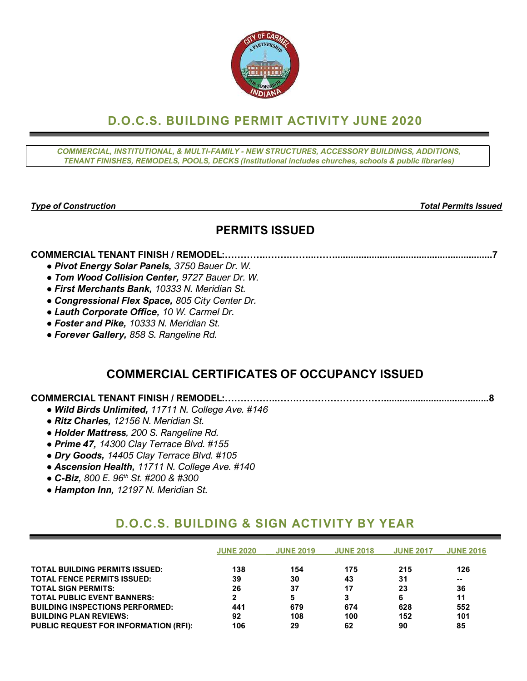

# D.O.C.S. BUILDING PERMIT ACTIVITY JUNE 2020

COMMERCIAL, INSTITUTIONAL, & MULTI-FAMILY - NEW STRUCTURES, ACCESSORY BUILDINGS, ADDITIONS, TENANT FINISHES, REMODELS, POOLS, DECKS (Institutional includes churches, schools & public libraries)

Type of Construction Total Permits Issued

# PERMITS ISSUED

### COMMERCIAL TENANT FINISH / REMODEL:…………..…….……...……............................................................7

- Pivot Energy Solar Panels, 3750 Bauer Dr. W.
- Tom Wood Collision Center, 9727 Bauer Dr. W.
- First Merchants Bank, 10333 N. Meridian St.
- Congressional Flex Space, 805 City Center Dr.
- Lauth Corporate Office, 10 W. Carmel Dr.
- Foster and Pike, 10333 N. Meridian St.
- Forever Gallery, 858 S. Rangeline Rd.

# COMMERCIAL CERTIFICATES OF OCCUPANCY ISSUED

## COMMERCIAL TENANT FINISH / REMODEL:……………..…….………………………........................................8

- Wild Birds Unlimited, 11711 N. College Ave. #146
- Ritz Charles, 12156 N. Meridian St.
- Holder Mattress, 200 S. Rangeline Rd.
- Prime 47, 14300 Clay Terrace Blvd. #155
- Dry Goods, 14405 Clay Terrace Blvd. #105
- Ascension Health, 11711 N. College Ave. #140
- $\bullet$  C-Biz, 800 E. 96<sup>th</sup> St. #200 & #300
- Hampton Inn, 12197 N. Meridian St.

# D.O.C.S. BUILDING & SIGN ACTIVITY BY YEAR

|                                              | <b>JUNE 2020</b> | <b>JUNE 2019</b> | <b>JUNE 2018</b> | <b>JUNE 2017</b> | <b>JUNE 2016</b> |
|----------------------------------------------|------------------|------------------|------------------|------------------|------------------|
| <b>TOTAL BUILDING PERMITS ISSUED:</b>        | 138              | 154              | 175              | 215              | 126              |
| <b>TOTAL FENCE PERMITS ISSUED:</b>           | 39               | 30               | 43               | 31               | --               |
| <b>TOTAL SIGN PERMITS:</b>                   | 26               | 37               | 17               | 23               | 36               |
| <b>TOTAL PUBLIC EVENT BANNERS:</b>           | 2                | 5                |                  | 6                | 11               |
| <b>BUILDING INSPECTIONS PERFORMED:</b>       | 441              | 679              | 674              | 628              | 552              |
| <b>BUILDING PLAN REVIEWS:</b>                | 92               | 108              | 100              | 152              | 101              |
| <b>PUBLIC REQUEST FOR INFORMATION (RFI):</b> | 106              | 29               | 62               | 90               | 85               |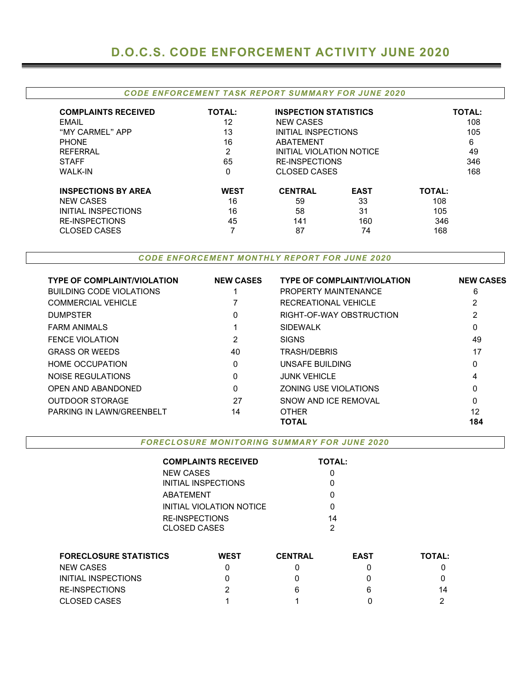#### CODE ENFORCEMENT TASK REPORT SUMMARY FOR JUNE 2020

| <b>COMPLAINTS RECEIVED</b> | <b>TOTAL:</b> | <b>INSPECTION STATISTICS</b> |             | <b>TOTAL:</b> |  |  |
|----------------------------|---------------|------------------------------|-------------|---------------|--|--|
| <b>EMAIL</b>               | 12            | <b>NEW CASES</b>             |             | 108           |  |  |
| "MY CARMEL" APP            | 13            | INITIAL INSPECTIONS          |             | 105           |  |  |
| <b>PHONE</b>               | 16            | ABATEMENT                    |             | 6             |  |  |
| <b>REFERRAL</b>            | 2             | INITIAL VIOLATION NOTICE     |             | 49            |  |  |
| <b>STAFF</b>               | 65            | <b>RE-INSPECTIONS</b>        |             | 346           |  |  |
| <b>WALK-IN</b>             | 0             | CLOSED CASES                 |             | 168           |  |  |
| <b>INSPECTIONS BY AREA</b> | <b>WEST</b>   | <b>CENTRAL</b>               | <b>EAST</b> | <b>TOTAL:</b> |  |  |
| <b>NEW CASES</b>           | 16            | 59                           | 33          | 108           |  |  |
| <b>INITIAL INSPECTIONS</b> | 16            | 58                           | 31          | 105           |  |  |
| <b>RE-INSPECTIONS</b>      | 45            | 141                          | 160         | 346           |  |  |
| <b>CLOSED CASES</b>        | ⇁             | 87                           | 74          | 168           |  |  |

CODE ENFORCEMENT MONTHLY REPORT FOR JUNE 2020

| <b>TYPE OF COMPLAINT/VIOLATION</b> | <b>NEW CASES</b> | <b>TYPE OF COMPLAINT/VIOLATION</b> | <b>NEW CASES</b> |
|------------------------------------|------------------|------------------------------------|------------------|
| <b>BUILDING CODE VIOLATIONS</b>    |                  | PROPERTY MAINTENANCE               | 6                |
| <b>COMMERCIAL VEHICLE</b>          |                  | RECREATIONAL VEHICLE               |                  |
| <b>DUMPSTER</b>                    | 0                | RIGHT-OF-WAY OBSTRUCTION           | 2                |
| <b>FARM ANIMALS</b>                |                  | <b>SIDEWALK</b>                    | 0                |
| <b>FENCE VIOLATION</b>             | 2                | <b>SIGNS</b>                       | 49               |
| <b>GRASS OR WEEDS</b>              | 40               | <b>TRASH/DEBRIS</b>                | 17               |
| <b>HOME OCCUPATION</b>             | 0                | UNSAFE BUILDING                    | 0                |
| NOISE REGULATIONS                  | 0                | <b>JUNK VEHICLE</b>                | 4                |
| OPEN AND ABANDONED                 | $\Omega$         | ZONING USE VIOLATIONS              | 0                |
| <b>OUTDOOR STORAGE</b>             | 27               | SNOW AND ICE REMOVAL               | 0                |
| PARKING IN LAWN/GREENBELT          | 14               | <b>OTHER</b>                       | 12               |
|                                    |                  | <b>TOTAL</b>                       | 184              |

FORECLO SURE MONITORING SUMMARY FOR JUNE 2020

|                               |                            | <b>COMPLAINTS RECEIVED</b> |                | <b>TOTAL:</b> |               |
|-------------------------------|----------------------------|----------------------------|----------------|---------------|---------------|
|                               | <b>NEW CASES</b>           |                            |                |               |               |
|                               | <b>INITIAL INSPECTIONS</b> |                            |                |               |               |
|                               | <b>ABATEMENT</b>           |                            |                |               |               |
|                               |                            | INITIAL VIOLATION NOTICE   |                | 0             |               |
|                               | <b>RE-INSPECTIONS</b>      |                            |                | 14            |               |
|                               | <b>CLOSED CASES</b>        |                            |                | 2             |               |
|                               |                            |                            |                |               |               |
| <b>FORECLOSURE STATISTICS</b> |                            | <b>WEST</b>                | <b>CENTRAL</b> | <b>EAST</b>   | <b>TOTAL:</b> |
| <b>NEW CASES</b>              |                            | 0                          | ი              | N             |               |
| <b>INITIAL INSPECTIONS</b>    |                            | O                          |                |               | 0             |
| <b>RE-INSPECTIONS</b>         |                            | 6                          | 6              | 14            |               |
| <b>CLOSED CASES</b>           |                            |                            |                |               |               |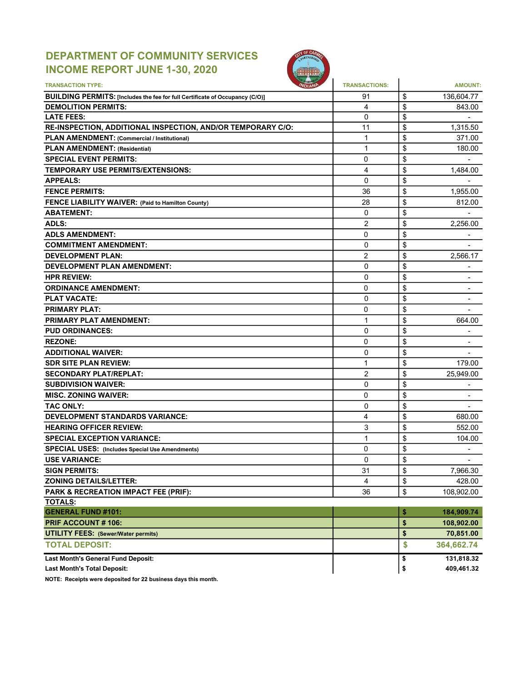## DEPARTMENT OF COMMUNITY SERVICES INCOME REPORT JUNE 1-30, 2020



| <b>TRANSACTION TYPE:</b>                                                     | <b>TRANSACTIONS:</b> | <b>AMOUNT:</b>                 |
|------------------------------------------------------------------------------|----------------------|--------------------------------|
| BUILDING PERMITS: [Includes the fee for full Certificate of Occupancy (C/O)] | 91                   | \$<br>136,604.77               |
| <b>DEMOLITION PERMITS:</b>                                                   | 4                    | \$<br>843.00                   |
| <b>LATE FEES:</b>                                                            | 0                    | \$                             |
| RE-INSPECTION, ADDITIONAL INSPECTION, AND/OR TEMPORARY C/O:                  | 11                   | \$<br>1,315.50                 |
| PLAN AMENDMENT: (Commercial / Institutional)                                 | 1                    | \$<br>371.00                   |
| <b>PLAN AMENDMENT: (Residential)</b>                                         | 1                    | \$<br>180.00                   |
| <b>SPECIAL EVENT PERMITS:</b>                                                | 0                    | \$                             |
| <b>TEMPORARY USE PERMITS/EXTENSIONS:</b>                                     | 4                    | \$<br>1,484.00                 |
| <b>APPEALS:</b>                                                              | 0                    | \$                             |
| <b>FENCE PERMITS:</b>                                                        | 36                   | \$<br>1,955.00                 |
| FENCE LIABILITY WAIVER: (Paid to Hamilton County)                            | 28                   | \$<br>812.00                   |
| <b>ABATEMENT:</b>                                                            | $\Omega$             | \$                             |
| <b>ADLS:</b>                                                                 | $\overline{2}$       | \$<br>2,256.00                 |
| <b>ADLS AMENDMENT:</b>                                                       | 0                    | \$                             |
| <b>COMMITMENT AMENDMENT:</b>                                                 | $\mathbf 0$          | \$                             |
| <b>DEVELOPMENT PLAN:</b>                                                     | 2                    | \$<br>2,566.17                 |
| DEVELOPMENT PLAN AMENDMENT:                                                  | 0                    | \$                             |
| <b>HPR REVIEW:</b>                                                           | 0                    | \$<br>$\overline{\phantom{a}}$ |
| <b>ORDINANCE AMENDMENT:</b>                                                  | 0                    | \$<br>$\overline{\phantom{0}}$ |
| <b>PLAT VACATE:</b>                                                          | 0                    | \$<br>$\overline{\phantom{a}}$ |
| <b>PRIMARY PLAT:</b>                                                         | 0                    | \$                             |
| <b>PRIMARY PLAT AMENDMENT:</b>                                               | 1                    | \$<br>664.00                   |
| <b>PUD ORDINANCES:</b>                                                       | 0                    | \$                             |
| <b>REZONE:</b>                                                               | 0                    | \$                             |
| <b>ADDITIONAL WAIVER:</b>                                                    | $\mathbf{0}$         | \$                             |
| <b>SDR SITE PLAN REVIEW:</b>                                                 | 1                    | \$<br>179.00                   |
| <b>SECONDARY PLAT/REPLAT:</b>                                                | $\overline{2}$       | \$<br>25,949.00                |
| <b>SUBDIVISION WAIVER:</b>                                                   | 0                    | \$                             |
| <b>MISC. ZONING WAIVER:</b>                                                  | 0                    | \$                             |
| <b>TAC ONLY:</b>                                                             | 0                    | \$                             |
| <b>DEVELOPMENT STANDARDS VARIANCE:</b>                                       | 4                    | \$<br>680.00                   |
| <b>HEARING OFFICER REVIEW:</b>                                               | 3                    | \$<br>552.00                   |
| <b>SPECIAL EXCEPTION VARIANCE:</b>                                           | 1                    | \$<br>104.00                   |
| <b>SPECIAL USES:</b> (Includes Special Use Amendments)                       | 0                    | \$                             |
| <b>USE VARIANCE:</b>                                                         | 0                    | \$                             |
| <b>SIGN PERMITS:</b>                                                         | 31                   | \$<br>7,966.30                 |
| <b>ZONING DETAILS/LETTER:</b>                                                | 4                    | \$<br>428.00                   |
| PARK & RECREATION IMPACT FEE (PRIF):                                         | 36                   | \$                             |
| <b>TOTALS:</b>                                                               |                      | 108,902.00                     |
| <b>GENERAL FUND #101:</b>                                                    |                      | \$<br>184,909.74               |
| PRIF ACCOUNT #106:                                                           |                      | \$<br>108,902.00               |
|                                                                              |                      | \$<br>70,851.00                |
| <b>UTILITY FEES: (Sewer/Water permits)</b>                                   |                      |                                |
| <b>TOTAL DEPOSIT:</b>                                                        |                      | \$<br>364,662.74               |
| <b>Last Month's General Fund Deposit:</b>                                    |                      | \$<br>131,818.32               |
| <b>Last Month's Total Deposit:</b>                                           |                      | \$<br>409,461.32               |

NOTE: Receipts were deposited for 22 business days this month.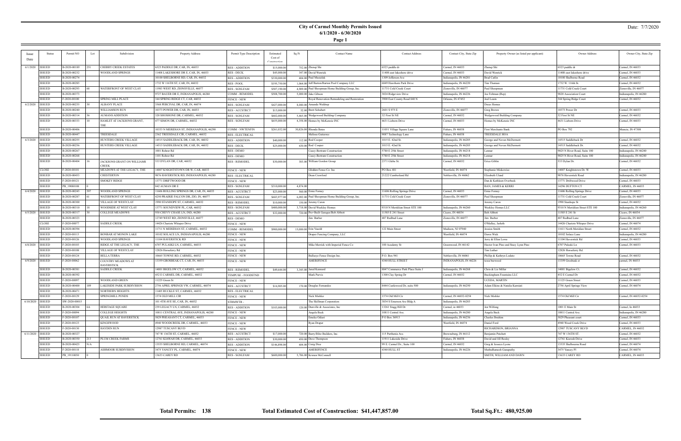## **City of Carmel Monthly Permits Issued 6/1/2020 - 6/30/2020**

**Page 1**

### Date: 7/7/2020

|          | Status                         | Permit NO                     | Lot | Subdivision                      | Property Address                         | Permit Type Description | Estimated    | Sq Ft    | Contact Name                                     | <b>Contact Address</b>           | Contact City, State Zip | Property Owner (as listed per applicant) | Owner Address                   | Owner City, State Zip  |
|----------|--------------------------------|-------------------------------|-----|----------------------------------|------------------------------------------|-------------------------|--------------|----------|--------------------------------------------------|----------------------------------|-------------------------|------------------------------------------|---------------------------------|------------------------|
| Date     |                                |                               |     |                                  |                                          |                         | Cost of      |          |                                                  |                                  |                         |                                          |                                 |                        |
|          |                                |                               |     |                                  |                                          |                         |              |          |                                                  |                                  |                         |                                          |                                 |                        |
| 6/1/2020 | <b>ISSUED</b>                  | B-2020-00189                  |     | CHERRY CREEK ESTATES             | 5523 PADDLE DR, CAR, IN, 46033           | <b>RES - ADDITION</b>   | \$15,000.0   |          | 752.00 Zhenqi Shi                                | 6523 paddle dr                   | Carmel, IN 46033        | Zhenqi Shi                               | 6523 paddle dr                  | Carmel, IN 46033       |
|          | ISSUED                         | B-2020-00232                  |     | WOODLAND SPRINGS                 | 11408 LAKESHORE DR E, CAR, IN, 46033     | RES - DECK              | \$45,000.0   |          | 347.00 David Wenrick                             | 11408 east lakeshore drive       | Carmel, IN 46033        | David Wenrick                            | 11408 east lakeshore drive      | Carmel, IN 46033       |
|          | <b>ISSUED</b>                  | B-2020-00274                  |     |                                  | 10100 SHELBORNE RD, CAR, IN, 46032       | <b>RES - ADDITION</b>   | \$330,000.0  |          | 404.00 Paul Musielak                             | 1309 Jefferson Ave               | Indianapolis, IN 46201  | <b>Brad Catlin</b>                       | 10100 Shelborne Road            | Carmel, IN 46032       |
|          | <b>ISSUED</b>                  | B-2020-00285                  |     |                                  | 1732 W 116TH ST, CAR, IN, 46032          | RES - POOL              | \$195,750.00 |          | 1,064.00 Jeff Barton/Barton Pool Company LLC     | 6849 Hawthorn Park Drive         | Indianapolis, IN 46220  | Tim Thoman                               | 1732 W. 116th St.               | Carmel, IN 46032       |
|          | <b>ISSUED</b>                  | B-2020-00293                  |     | WATERFRONT OF WEST CLAY          | 1983 WEST RD, ZIONSVILLE, 46077          | RES - SGNLFAM           | \$507,190.00 |          | 4,909.00 Paul Shoopman Home Building Group, Inc. | 11731 Cold Creek Court           | Zionsville, IN 46077    | Paul Shoopman                            | 11731 Cold Creek Court          | Zionsville, IN 46077   |
|          | <b>ISSUED</b>                  | B-2020-00373                  |     |                                  | 9727 BAUER DR E, INDIANAPOLIS, 46280     | COMM - REMODEI          | \$508,700.00 |          | 5,000.00 Jake Gibson                             | 3024 Ridgeview Drive             | Indianapolis, IN 46226  | Joe Feltman (Rep)                        | 9820 Association Court          | ndianapolis, IN 46280  |
|          | ISSUED                         | F-2020-00100                  |     | <b>SPRING MILL PLACE</b>         | 344 SPRING RIDGE CT, CAR, 46032          | <b>FENCE - NEW</b>      |              |          | Royal Renovation Remodeling and Restoration      | 3900 East County Road 840 N      | Orleans, IN 47452       | Joel Learn                               | 344 Spring Ridge Court          | Carmel, IN 46032       |
| 6/2/2020 | <b>ISSUED</b>                  | B-2020-00235                  |     | <b>ALBANY PLACE</b>              | 3568 PERCIVAL DR, CAR, IN, 46074         | <b>RES - SGNLFAM</b>    | \$427,000.00 |          | 8,040.00 Amanda Waldrup                          |                                  |                         | Drees Homes                              |                                 |                        |
|          | ISSUED                         | B-2020-00240                  |     | WILLIAMSON RUN                   | 10373 POWER DR, CAR, IN, 46033           |                         |              |          |                                                  | 2601 S 975 E                     | Zionsville, IN 46077    |                                          | 10373 Power Dr                  | Carmel, IN 46033       |
|          |                                | B-2020-00314                  |     |                                  | 320 SHOSHONE DR, CARMEL, 46032           | <b>RES-ACCSTRCT</b>     | \$13,000.00  |          | 32.00 Brett Schubert                             |                                  |                         | Greg Brown                               |                                 |                        |
|          | <b>ISSUED</b><br><b>ISSUED</b> |                               |     | <b>AUMANS ADDITION</b>           |                                          | RES - SGNLFAM           | \$602,000.00 |          | 5,465.00 Wedgewood Building Company              | 32 First St NE                   | Carmel, IN 46032        | Wedgewood Building Company               | 32 First St NE                  | Carmel, IN 46032       |
|          |                                | B-2020-00333                  |     | HAMLET AT JACKSONS GRANT,<br>THF | 477 SIMON DR, CARMEL, 46032              | RES - SGNLFAM           | \$655,000.00 |          | 4,358.00 Homes by McKenzie INC                   | 4631 Lisborn Drive               | Carmel, IN 46033        | Homes by McKenzie INC                    | 4631 Lisborn Drive              | Carmel, IN 46033       |
|          | <b>ISSUED</b>                  | B-2020-00406                  |     |                                  | 10333 N MERIDIAN ST, INDIANAPOLIS, 46290 | COMM - NWTENFIN         | \$261,032.00 |          | 30,826.00 Rhonda Bates                           | 11051 Village Square Lane        | Fishers, IN 46038       | First Merchants Bank                     | PO Box 792                      | Muncie, IN 47308       |
|          | ISSUED                         | B-2020-00447                  |     | TREESDALE                        | 2362 TREESDALE CIR, CARMEL, 46032        | RES - ELECTRICAI        |              |          | Melissa Gutierrez                                | 9087 Technology Lane             | Fishers, IN 46038       | TREESDALE HOA                            |                                 |                        |
| 6/3/2020 | <b>ISSUED</b>                  | B-2020-00255                  |     | HUNTERS CREEK VILLAGE            | 14515 SADDLEBACK DR, CAR, IN, 46032      | <b>RES - ADDITION</b>   | \$40,000.0   |          | 112.00 Rod Cooper                                | 1015 E. 42nd St.                 | Indianapolis, IN 46205  | George and Nevan McDermott               | 14515 Saddleback Dr             | Carmel, IN 46032       |
|          | <b>ISSUED</b>                  | B-2020-00256                  |     | HUNTERS CREEK VILLAGE            | 14515 SADDLEBACK DR, CAR, IN, 46032      | RES - DECK              | \$25,000.00  |          | 630.00 Rod Cooper                                | 1015 E. 42nd St.                 | Indianapolis, IN 46205  | George and Nevan McDermott               | 14515 Saddleback Dr.            | Carmel, IN 46032       |
|          | <b>ISSUED</b>                  | B-2020-00267                  |     |                                  | 1001 Rohrer Rd                           | <b>RES - DEMO</b>       |              |          | Casey-Bertram Construction                       | 5780 E 25th Street               | Indianapolis, IN 46218  | Lennar                                   | 9025 N River Road, Suite 100    | ndianapolis, IN 46240  |
|          | <b>ISSUED</b>                  | B-2020-00268                  |     |                                  | 1101 Rohrer Rd                           | <b>RES - DEMO</b>       |              |          | Casey-Bertram Construction                       | 5780 E 25th Street               | Indianapolis, IN 46218  | Lennar                                   | 9025 N River Road, Suite 100    | Indianapolis, IN 46240 |
|          | <b>ISSUED</b>                  | B-2020-00404                  |     | JACKSONS GRANT ON WILLIAMS       | 533 DYLAN DR, CAR, 46032                 | <b>RES - REMODEL</b>    | \$30,000.00  |          | 303.00 William Gordon Group                      | 2371 Glebe St.                   | Carmel, IN 46032        | Erica Giblin                             | 533 Dylan Dr.                   | Carmel, IN 46032       |
|          |                                |                               |     | CREEK                            |                                          |                         |              |          |                                                  |                                  |                         |                                          |                                 |                        |
|          | <b>CLOSE</b>                   | F-2020-00101                  |     | MEADOWS AT THE LEGACY, THE       | 14007 KNIGHTSTOWN DR W, CAR, 46033       | <b>FENCE - NEW</b>      |              |          | Glidden Fence Co. Inc                            | PO Box 481                       | Westfield, IN 46074     | Stephanie Miskowiec                      | 14007 Knightstown Dr. W         | Carmel, IN 46033       |
|          | <b>ISSUED</b>                  | B-2020-00453                  |     | CHESTERTON                       | 9876 HAVERSTICK RD, INDIANAPOLIS, 46280  | <b>RES - ELECTRICAL</b> |              |          | Dean Crawford                                    | 21222 Cumberland Rd              | Noblesville, IN 46062   | Elizabeth Uland                          | 9876 Haverstick Road            | ndianapolis, IN 46280  |
|          | <b>ISSUED</b>                  | F-2020-00121                  |     | <b>SMOKEY RIDGE</b>              | 13771 DRIFTWOOD DR                       | <b>FENCE - NEW</b>      |              |          |                                                  |                                  |                         | Dan & Kathleen Overbeck                  | 13771 Driftwood Drive           | Carmel, IN 46033       |
|          | ISSUED                         | PB 19080108                   |     |                                  | 842 AUMAN DR E                           | <b>RES - SGNLFAM</b>    | \$310,000.00 | 4,874.00 |                                                  |                                  |                         | BAN, JAMES & KERRI                       | 14296 DUFTON CT                 | CARMEL, IN 46033       |
| 6/4/2020 | <b>ISSUED</b>                  | B-2020-00245                  |     | WOODLAND SPRINGS                 | 1606 ROLLING SPRINGS DR, CAR, IN, 46033  | RES - ACCSTRCT          | \$23,000.0   |          | 560.00 Ernie Forney                              | 11606 Rolling Springs Drive      | Carmel, IN 46033        | Ernie Forney                             | 11606 Rolling Springs Drive     | Carmel, IN 46033       |
|          | <b>ISSUED</b>                  | B-2020-00287                  |     | WATERFRONT OF WEST CLAY          | 4250 PRAIRIE FALCON DR, ZIO, IN, 46077   | RES - SGNLFAM           | \$683,977.0  |          | 6,092.00 Paul Shoopman Home Building Group, Inc. | 11731 Cold Creek Court           | Zionsville, IN 46077    | Paul Shoopman                            | 11731 Cold Creek Court          | Zionsville, IN 46077   |
|          | ISSUED                         | B-2020-00300                  |     | VILLAGE OF WESTCLAY              | 1990 STANHOPE ST, CARMEL, 46032          | <b>RES - REMODEL</b>    | \$10,000.00  |          | 150.00 Jeremy Caron                              |                                  |                         | Jeremy Caron                             | 1990 Stanhope St                | Carmel, IN 46032       |
|          | ISSUED                         | B-2020-00310                  |     | WOODSIDE AT WEST CLAY            | 13771 SOUNDVIEW PL, CAR, 46032           | RES - SGNLFAM           | \$400,000.0  |          | 3,718.00 David Weekley Homes                     | 9310 N Meridiian Street STE 100  | Indianapolis, IN 46260  | Weekley Homes LLC                        | 9310 N Meridiian Street STE 100 | ndianapolis, IN 46260  |
|          | 6/5/2020 ISSUED                | B-2020-00317                  |     | <b>COLLEGE MEADOWS</b>           | 930 CHEVY CHASE LN, IND, 46280           | <b>RES-ACCSTRCT</b>     | \$32,000.0   |          | 720.00 Pro=Built Garages/Bob Abbott              | 11585 E 241 Street               | Cicero, IN 46034        | Bob Abbott                               | 11585 E 241 St                  | Cicero, IN 46034       |
|          | <b>ISSUED</b>                  | B-2020-00323                  |     |                                  | 12749 WEST RD, ZIONSVILLE, 46077         | RES - DEMO              |              |          | Jim Barber                                       | 487 Redbud Lane                  | Zionsville, IN 46077    | Jim Barber                               | 487 Redbud Lane                 | Zionsville, IN 46077   |
|          | <b>CLOSE</b>                   | F-2020-00077                  |     | SADDLE CREEK                     |                                          |                         |              |          |                                                  |                                  |                         | O'Malley, Jarleth                        | 14426 Chariots Whisper Drive    | Carmel, IN 46074       |
|          | <b>ISSUED</b>                  | B-2020-00394                  |     |                                  | 14426 Chariots Whisper Drive             | <b>FENCE - NEW</b>      |              |          |                                                  | 122 Main Street                  |                         |                                          |                                 |                        |
|          | <b>ISSUED</b>                  |                               |     |                                  | 11711 N MERIDIAN ST, CARMEL, 46032       | COMM - REMODEL          | \$900,000.00 |          | 15,000.00 Erin Vasold                            |                                  | Madison, NJ 07940       | lessica Smith                            | 11611 North Meridian Street     | Carmel, IN 46032       |
|          |                                | F-2020-00113                  |     | BONBAR AT MONON LAKE             | 10102 SOLACE LN, INDIANAPOLIS, 46280     | <b>FENCE - NEW</b>      |              |          | Draper Fencing Company, LLC                      |                                  | Westfield, IN 46074     | Dawn Wick                                | 10102 Solace Lane               | ndianapolis, IN 46280  |
|          | ISSUED                         | F-2020-00126                  |     | WOODLAND SPRINGS                 | 11104 HAVERSTICK RD                      | <b>FENCE - NEW</b>      |              |          |                                                  |                                  |                         | ferry & Ellen Lowe                       | 11104 Haverstick Rd             | Carmel, IN 46033       |
| 6/8/2020 | <b>ISSUED</b>                  | F-2020-00103                  |     | RIDGE AT THE LEGACY, THE         | 6707 PULASKI LN, CARMEL, 46033           | FENCE - NEW             |              |          | Mike Merrick with Imperial Fence Co              | 100 Academy St                   | Greenwood, IN 46142     | Hector Ivan Pino and Stacy Lynn Pino     | 6707 Pulaski Ln                 | Carmel, IN 46033       |
|          | ISSUED                         | F-2020-00108                  |     | VILLAGE OF WESTCLAY              | 12826 Horseferry Rd                      | <b>FENCE - NEW</b>      |              |          |                                                  |                                  |                         | Tim Luther                               | 12826 Horseferry Rd.            |                        |
|          | ISSUED                         | F-2020-00124                  |     | BELLA TERRA                      | 10665 TOWNE RD, CARMEL, 46032            | <b>FENCE - NEW</b>      |              |          | Bullseye Fence Design Inc.                       | P.O. Box 941                     | Noblesville, IN 46061   | Phillip & Kathryn Lodato                 | 10665 Towne Road                | Carmel, IN 46032       |
|          | 6/9/2020   ISSUED              | F-2020-00062                  |     | COUNTRY MEADOWS AT<br>HAVERSTICK | 13359 GROSBEAK CT, CAR, IN, 46033        | FENCE - NEW             |              |          | AMERIFENCE                                       | 4340 HULL STREET                 | INDIANAPOLIS, IN 46226  | tessa burwood                            | 13359 Grosbeak ct               | carmel, IN 46033       |
|          | <b>ISSUED</b>                  | B-2020-00381                  |     | <b>SADDLE CREEK</b>              | 14001 BIGELOW CT, CARMEL, 46032          | <b>RES - REMODEL</b>    | \$49,644.00  |          | 3,345.00 Jared Kennard                           | 8847 Commerce Park Place Suite J | Indianapolis, IN 46268  | Chris & Liz Miller                       | 14001 Bigelow Ct.               | Carmel, IN 46032       |
|          | ISSUED                         | B-2020-00392                  |     |                                  | 452 E CARMEL DR, CARMEL, 46032           | TEMPUSE - FOODSTND      |              |          | Mark Purvis                                      | 1300 Clay Spring Dr              | Carmel, IN 46032        | Buckingham Fountains LLC                 | 452 E Carmel Dr                 | Carmel, IN 46032       |
|          | <b>ISSUED</b>                  | F-2020-00097                  |     | WOODLAND GREEN                   | 11225 Green St                           | <b>FENCE - NEW</b>      |              |          |                                                  |                                  |                         | UCEDA, MARTIN                            | 11125 Green Street              | Carmel, IN 46033       |
|          | <b>ISSUED</b>                  | B-2020-00400                  |     | LAKESIDE PARK SUBDIVISION        | 2756 APRIL SPRINGS VW, CARMEL, 46074     | <b>RES - ACCSTRCT</b>   | \$16,905.00  |          | 170.00 Douglas Fernandes                         | 8444 Castlewood Dr, suite 500    | Indianapolis, IN 46250  | Adam Elkins & Natalia Kurniati           | 2756 April Springs View         | Carmel, IN 46074       |
|          | <b>ISSUED</b>                  | B-2020-00471                  |     | <b>NORTHERN HEIGHTS</b>          | 11405 RUCKLE ST, CARMEL, 46032           | <b>RES - ELECTRICAL</b> |              |          |                                                  |                                  |                         |                                          |                                 |                        |
|          | <b>ISSUED</b>                  |                               |     | SPRINGMILL PONDS                 | 1574 OLD MILL CIR                        |                         |              |          |                                                  | 1574 Old Mill Cir                | Carmel, IN 46032-8254   |                                          | 1574 Old Mill Cir               | Carmel, IN 46032-8254  |
|          | 6/10/2020 ISSUED               | F-2020-00129<br>SW-2020-00015 |     |                                  | 101 4TH AVE SE, CAR, IN, 46032           | <b>FENCE - NEW</b>      |              |          | Nick Mishler<br>The Skillman Corporation         | 3834 S Emerson Ave Bldg A        | Indianapolis, IN 46203  | Nick Mishler                             |                                 |                        |
|          |                                |                               |     |                                  |                                          | STRMWTR -               |              |          |                                                  |                                  |                         |                                          |                                 |                        |
|          | ISSUED                         | B-2020-00304                  |     | HERITAGE SQUARE                  | 239 LEGACY LN, CARMEL, 46032             | <b>RES - ADDITION</b>   | \$103,000.00 |          | 120.00 Dunville & Associates, Inc.               | 13261 Stagg Hill Dr              | Carmel, in 46033        | Jen Wilfong                              | 1001 E Main St                  | Carmel, In 46033       |
|          | <b>ISSUED</b>                  | F-2020-00094                  |     | <b>COLLEGE HEIGHTS</b>           | 10811 CENTRAL AVE, INDIANAPOLIS, 46280   | <b>FENCE - NEW</b>      |              |          | Angela Beck                                      | 10811 Central Ave.               | Indianapolis, IN 46280  | Angela Beck                              | 10811 Central Ave.              | Indianapolis, IN 46280 |
|          | <b>ISSUED</b>                  | F-2020-00107                  |     | <b>QUAIL RUN AT HAVERSTICK</b>   | 5829 PHEASANT CT, CARMEL, 46033          | <b>FENCE - NEW</b>      |              |          | Emeka Odiari                                     | PO Box 36913                     | Indianapolis, IN 46236  | Charles Ibrahim                          | 5829 Pheasant court             | Carmel, IN 46033       |
|          | <b>ISSUED</b>                  | F-2020-00123                  |     | KINGSWOOD                        | 4940 WOODCREEK DR, CARMEL, 46033         | <b>FENCE - NEW</b>      |              |          | Ryan Draper                                      |                                  | Westfield, IN 46074     | Daniel Ford                              | 4940 Wood Creek Drive           | Carmel, IN 46033       |
|          | <b>ISSUED</b>                  | F-2020-00130                  |     | HAYDEN RUN                       | 12987 TUSCANY BLVD                       | <b>FENCE - NEW</b>      |              |          |                                                  |                                  |                         | RICHARDSON, BRIANNA                      | 12987 TUSCANY BLVD              | CARMEL, IN 46032       |
|          | 6/11/2020 ISSUED               | B-2020-00327                  |     |                                  | 747 W 136TH ST, CARMEL, 46032            | <b>RES - ACCSTRCT</b>   | \$17,000.00  |          | 720.00 Barry/Blitz Builders, Inc.                | 115 Parthenia Ave.               | Brownsburg, IN 46112    | Benjamin Patchett                        | 747 W 136TH ST.                 | Carmel, IN 46032       |
|          | ISSUED                         | B-2020-00350                  | 213 | PLUM CREEK FARMS                 | 12761 KIAWAH DR, CARMEL, 46033           | <b>RES - ADDITION</b>   | \$30,000.00  |          | 450.00 Dave Thompson                             | 11911 Lakeside Drive             | Fishers, IN 46038       | David and Jill Resley                    | 12761 Kiawah Drive              | Carmel, IN 46033       |
|          | ISSUED                         | B-2020-00425                  | N/A |                                  | 13535 SHELBORNE RD, CARMEL, 46074        | <b>RES - ADDITION</b>   | \$146,898.00 |          | 604.00 Craig Dice                                | 99 E. Carmel Dr., Suite 100      | Carmel, IN 46032        | Greg & Jesseca Lyons                     | 13535 Shelbourne Road           | Carmel, IN 46074       |
|          | <b>ISSUED</b>                  | F-2020-00118                  |     | <b>ASHMOOR SUBDIVISION</b>       | 3475 YANCEY PL, CARMEL, 46074            | <b>FENCE - NEW</b>      |              |          | AMERIFENCE                                       | 4340 HULL ST                     | Indianapolis, IN 46226  | MuthuRamesh Ganapathy                    | 3475 Yancey Pl                  | Carmel, IN 46074       |
|          | ISSUED                         | PB_19110050                   |     |                                  | 13633 CAREY RD                           | RES - SGNLFAM           | \$600,000.00 |          | 5,786,00 Kristen McConnell                       |                                  |                         | SMITH, WILLIAM AND DAWN                  | 13633 CAREY RD                  | CARMEL, IN 46033       |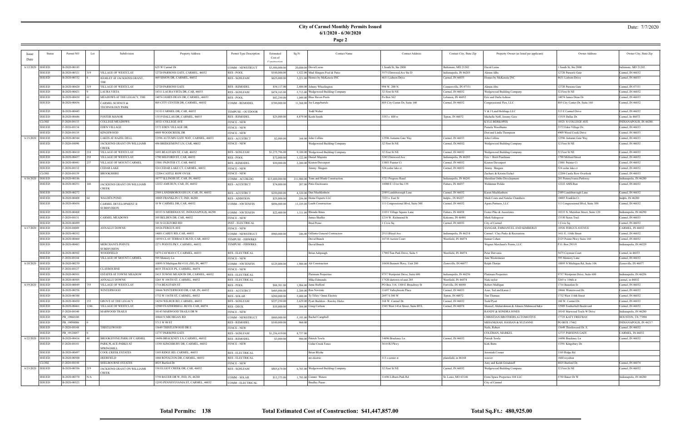## **City of Carmel Monthly Permits Issued 6/1/2020 - 6/30/2020**

**Page 2**

### Date: 7/7/2020

| Issue<br>Date        | <b>Status</b> | Permit NO                    | Subdivision<br>Lot                            | Property Address                                  | Permit Type Description             | Estimated<br>Cost of        | Sq Ft    | <b>Contact Name</b>                    | <b>Contact Address</b>                                      | Contact City, State Zip                    | Property Owner (as listed per applicant)  | Owner Address                       | Owner City, State Zip                |
|----------------------|---------------|------------------------------|-----------------------------------------------|---------------------------------------------------|-------------------------------------|-----------------------------|----------|----------------------------------------|-------------------------------------------------------------|--------------------------------------------|-------------------------------------------|-------------------------------------|--------------------------------------|
|                      |               |                              |                                               |                                                   |                                     |                             |          |                                        |                                                             |                                            |                                           |                                     |                                      |
| $6/12/2020$   ISSUED |               | B-2020-00185                 |                                               | 635 W Carmel Dr                                   | COMM - NEWSTRUCT                    | \$3,500,000.00              |          | 20,000.00 David Lazas                  | South St, Ste 2800                                          | Baltimore, MD 21202                        | David Lazas                               | 1 South St, Ste 2800                | baltimore, MD 21202                  |
|                      | <b>ISSUED</b> | B-2020-00321                 | VILLAGE OF WESTCLAY<br>319.                   | 12720 PARSONS GATE, CARMEL, 46032                 | RES - POOL                          | \$100,000.00                |          | 1,522.00 Mud Slingers Pool & Patio     | 5575 Elmwood Ave Ste D                                      | Indianapolis, IN 46203                     | Akram ABu                                 | 12720 Parson's Gate                 | Carmel, IN 46032                     |
|                      | <b>ISSUED</b> | B-2020-00332                 | HAMLET AT JACKSONS GRANT,                     | 469 SIMON DR, CARMEL, 46032                       | RES - SGNLFAM                       | \$625,000.00                |          | 3,221.00 Homes by McKenzie INC         | 4631 Lisborn Drive                                          | Carmel, IN 46033                           | Homes by McKenzie INC                     | 4631 Lisborn Drive                  | Carmel, IN 46033                     |
|                      | <b>ISSUED</b> | B-2020-00420                 | VILLAGE OF WESTCLAY                           | 12720 PARSONS GATE                                | <b>RES - REMODEL</b>                | \$54,117.00                 |          | 2,400.00 Johnny Wheelington            | 994 W. 200 N.                                               | Connersville, IN 47331                     | Akram Abu                                 | 12720 Parsons Gate                  | Carmel, IN 47331                     |
|                      | <b>ISSUED</b> | B-2020-00421                 | LAURA VISTA                                   | 14311 LAURA VISTA DR, CAR, 46033                  | <b>RES - SGNLFAM</b>                | \$474,165.00                |          | 5,713.00 Wedgewood Building Company    | 32 First St NE                                              | Carmel, IN 46032                           | Wedgewood Building Company                | 32 First St NE                      | Carmel, IN 46032                     |
|                      | <b>ISSUED</b> | B-2020-00430                 | MEADOWS AT THE LEGACY, THE                    | 14074 JAMES DEAN DR, CARMEL, 46033                | <b>RES - POOL</b>                   | \$82,250.00                 |          | 1,049.00 Blue Haven Pools              | Po Box 562                                                  | Lebanon, IN 46052                          | Eric and Darla Ashton                     | 14074 James Dean Dr                 | Carmel, IN 46033                     |
|                      | <b>ISSUED</b> | B-2020-00436                 | CARMEL SCIENCE &<br>TECHNOLOGY PARK           | 805 CITY CENTER DR, CARMEL, 46032                 | <b>COMM - REMODEL</b>               | \$700,000.00                |          | 11,368.00 Joe Langebartels             | 805 City Center Dr, Suite 160                               | Carmel, IN 46032                           | Congressional Flex, LLC                   | 805 City Center Dr, Suite 160       | Carmel, IN 46032                     |
|                      | <b>ISSUED</b> | B-2020-00445                 |                                               | 313 E CARMEL DR, CAR, 46032                       | TEMPUSE - OUTDOOR                   |                             |          | Fodd Weber                             |                                                             |                                            | V & J Land Holdings LLC                   | 313 E Carmel Drive                  | Carmel, IN 46032                     |
|                      | <b>ISSUED</b> | B-2020-00446                 | <b>FOSTER MANOR</b>                           | 13519 DALLAS DR, CARMEL, 46033                    | <b>RES - REMODEL</b>                | \$25,000.00                 |          | 4,879.00 Keith Smith                   | 3353 s 800 w                                                | Tipton, IN 46072                           | Michelle Neff, Jeremy Getz                | 13519 Dallas Dr.                    | Carmel, In 46072                     |
|                      | <b>CLOSE</b>  | F-2020-00133                 | COLLEGE MEADOWS                               | 10321 COLLEGE AVE                                 | <b>FENCE - NEW</b>                  |                             |          |                                        |                                                             |                                            | <b>KYLE BERKOPES</b>                      | 10321 N COLLEGE AVE                 | INDIANAPOLIS, IN 46280               |
|                      | <b>ISSUED</b> | F-2020-00134                 | EDEN VILLAGE                                  | 3372 EDEN VILLAGE DR                              | <b>FENCE - NEW</b>                  |                             |          |                                        |                                                             |                                            | Pamela Woodhams                           | 3372 Eden Village Dr.               | Carmel, IN 46033                     |
|                      | <b>ISSUED</b> | F-2020-00135                 | KINGSWOOD                                     | 4909 WOODCREEK DR                                 | <b>FENCE - NEW</b>                  |                             |          |                                        |                                                             |                                            | Don and Linda Thompson                    | 4909 Wood Creek Drive               | Carmel, IN 46033                     |
| 6/15/2020 ISSUED     |               | B-2020-00344                 | LAKES AT HAZEL DELI                           | 2596 AUTUMN GATE WAY, CARMEL, 46033               | <b>RES - ACCSTRCT</b>               | \$2,000.00                  |          | 168.00 John Collins                    | 12596 Autumn Gate Way                                       | Carmel, IN 46033                           | John Collins                              | 12596 Autumn Gate Way               | Carmel, IN 46033                     |
|                      | <b>ISSUED</b> | F-2020-00090                 | JACKSONS GRANT ON WILLIAMS<br><b>CREEK</b>    | 496 BRIDGEMONT LN, CAR, 46032                     | FENCE - NEW                         |                             |          | Wedgewood Building Company             | 32 First St NE                                              | Carmel, IN 46032                           | Wedgewood Building Company                | 32 First St NE                      | Carmel, IN 46032                     |
|                      | <b>ISSUED</b> | B-2020-00410                 | VILLAGE OF WESTCLAY<br>218                    | 1693 BEAUFAIN ST, CAR, 46032                      | <b>RES - SGNLFAM</b>                | \$1,275,796.00              |          | 9,100.00 Wedgewood Building Company    | 32 First St NE                                              | Carmel, IN 46032                           | Wedgewood Building Company                | 32 First St NE                      | Carmel, IN 46032                     |
|                      | <b>ISSUED</b> | B-2020-00437                 | VILLAGE OF WESTCLAY<br>255                    | 790 MILFORD ST, CAR, 46032                        | <b>RES - POOL</b>                   | \$72,000.00                 |          | 1,122.00 Daniel Majestic               | 5245 Elmwood Ave                                            | Indianapolis, IN 46203                     | Eric + Brett Pearlmar                     | 1790 Milford Street                 | Carmel, IN 46032                     |
|                      | <b>ISSUED</b> | B-2020-00441                 | VILLAGE OF MOUNT CARMEL                       | 13881 PAINTER CT, CAR, 46032                      | <b>RES - REMODEI</b>                | \$50,000.00                 |          | 2,200.00 Keaton Davenport              | 13881 Painter Ct                                            | Carmel, IN 46032                           | <b>Keaton Davenport</b>                   | 13881 Painter Ct                    | Carmel, IN 46032                     |
|                      | <b>ISSUED</b> | F-2020-00132                 | CEDAR LAKE                                    | 524 CEDAR LAKE CT, CARMEL, 46032                  | <b>FENCE - NEW</b>                  |                             |          | immy Shugars                           | 524 cedar lake ct                                           | Carmel, IN 46032                           | limmy Shugars                             | 524 cedar lake ct                   | Carmel, IN 46032                     |
|                      | <b>CLOSE</b>  | F-2020-00139                 | BROOKSHIRE                                    | 12204 CASTLE ROW OVLK                             | <b>FENCE - NEW</b>                  |                             |          |                                        |                                                             |                                            | Zachary & Kristin Eichel                  | 12204 Castle Row Overlook           | Carmel, IN 46033                     |
| $6/16/2020$ ISSUED   |               | B-2020-00186                 |                                               | 0777 ILLINOIS ST, CAR, IN, 46032                  | COMM - ACCBLDG                      | \$15,600,000.00             |          | 211,900.00 Tonn and Blank Construction | 5721 Progress Road                                          | Indianapolis, IN 46241                     | Meridian Ortho Development                | 201 Pennsylvania Parkway            | Indianapolis, IN 46280               |
|                      | <b>ISSUED</b> | B-2020-00251                 | JACKSONS GRANT ON WILLIAMS<br>CREEK           | 2222 AMS RUN, CAR, IN, 46032                      | RES - ACCSTRCT                      | \$74,000.00                 |          | 207.00 Patio Enclosures                | 10080 E 121st Ste.139                                       | Fishers, IN 46037                          | Waldemar Polido                           | 12222 AMS Run                       | Carmel, IN 46032                     |
|                      | <b>ISSUED</b> | B-2020-00272                 |                                               | 2589 LANDSBOROUGH LN, CAR, IN, 46032              | <b>RES-ACCSTRCT</b>                 | \$250,000.00                |          | 4,320.00 Dan Muchlenbein               | 2589 Landsborough Lane                                      | Carmel, IN 46032                           | Karen Muehlenbein                         | 2589 Landsborough Lane              | Carmel, IN 46032                     |
|                      | <b>ISSUED</b> | B-2020-00408                 | WALDEN POND                                   | 10005 FRANKLIN CT, IND, 46280                     | <b>RES - ADDITION</b>               | \$25,000.00                 |          | 256.00 Home Experts LLC                | 7225 s. East St                                             | Indpls., IN 46227                          | Mark Coats and Natalie Chambers           | 10005 Franklin Ct                   | Indpls, IN 46280                     |
|                      | <b>ISSUED</b> | B-2020-00456                 | CARMEL DEVELOPMENT II<br>SUBDIVISION          | 10 W CARMEL DR, CAR, 46032                        | <b>COMM - NWTENFIN</b>              | \$896,000.00                |          | 13,105.00 Lauth Construction           | 111 Congressional Blvd, Suite 300                           | Carmel, IN 46032                           | Agora Partners, LLC                       | 111 Congressional Blvd, Suite 300   | Carmel, IN 46032                     |
|                      | <b>ISSUED</b> | B-2020-00468                 |                                               | 10333 N MERIDIAN ST, INDIANAPOLIS, 46290          | <b>COMM - NWTENFIN</b>              | \$22,400.00                 |          | 1,311.00 Rhonda Bates                  | 11051 Village Square Lane                                   | Fishers, IN 46038                          | Foster Pike & Associates                  | 10333 N. Meridian Street, Suite 120 | Indianapolis, IN 46290               |
|                      | <b>ISSUED</b> | F-2020-00131                 | CARMEL MEADOWS                                | 105 BELDEN DR, CAR, 46032                         | <b>FENCE - NEW</b>                  |                             |          | ames Shaffer                           | 1214 W. Richmond St                                         | Kokomo, IN 46901                           | Mark Saltsgaver                           | 13330 Sioux Trail                   | Carmel, IN 46033                     |
|                      | <b>ISSUED</b> | B-2020-00499                 |                                               | 341 S GUILFORD RD                                 | <b>INST - ELECTRICAL</b>            |                             |          | <b>Brad Pease</b>                      | 1 Civic Sq                                                  | Carmel, IN 46032                           | City of Carmel                            | 1 Civic Sq                          | Carmel, IN 46032                     |
| 6/17/2020   ISSUED   |               | F-2020-00049                 | ANNALLY DOWNS                                 | 10526 FERGUS AVE                                  | <b>FENCE - NEW</b>                  |                             |          |                                        |                                                             |                                            | SANGAR, EMMANUEL AND KIMBERLY             | 10526 FERGUS AVENUE                 | CARMEL, IN 46032                     |
|                      | <b>ISSUED</b> | B-2020-00352                 |                                               | 14001 CAREY RD, CAR, 46033                        | COMM - NEWSTRUCT                    | \$900,000.00                |          | 246.00 Gilliatte General Contractors   | 2515 Bloyd Ave                                              | Indianapolis, IN 46218                     | Carmel / Clay Parks & Recreation          | 1411 E. 116th Street                | Carmel, IN 46032                     |
|                      | <b>ISSUED</b> | B-2020-00460                 |                                               | 14550 CLAY TERRACE BLVD, CAR, 46032               | TEMPUSE - FIRWRKS                   |                             |          | David Bunch                            | 16710 Aerion Court                                          | Westfield, IN 46074                        | Itamar Cohen                              | 2325 Pointe Pkwy Suite 160          | Carmel, IN 46032                     |
|                      | <b>ISSUED</b> | B-2020-00483                 | <b>MERCHANTS POINTE</b><br><b>SUBDIVISION</b> | 2271 POINTE PKY, CARMEL, 46032                    | TEMPUSE - FIRWRKS                   |                             |          | David Bunch                            |                                                             |                                            | Wagner Merchant's Pointe, LLC             | P.O. Box 29319                      | Indianapolis, IN 46229               |
|                      | <b>ISSUED</b> | B-2020-00502                 | WOODFIELD                                     | 5475 CAYMAN CT, CARMEL, 46033                     | <b>RES - ELECTRICAL</b>             |                             |          | Brian Ashpaugh                         | 17903 Sun Park Drive, Suite 5                               | Westfield, IN 46074                        | Peter Dervenis                            | 5475 Cayman Court                   | Carmel, in 46033                     |
|                      | <b>ISSUED</b> | F-2020-00144                 | VILLAGE OF MOUNT CARMEL                       | 595 Memory Ln                                     | <b>FENCE - NEW</b>                  |                             |          |                                        |                                                             |                                            | Jane Westermeier                          | 595 Memory Lane                     | Carmel, IN 46032                     |
| 6/18/2020 ISSUED     |               | B-2020-00239                 |                                               | 10895 N Michigan Rd #110, ZIO, IN, 46077          | <b>COMM - NWTENFIN</b>              | \$125,000.00                |          | 1,900.00 Alt Construction              | 10650 Bennett Pkwy, Unit 200                                | Zionsville, IN 46077                       | Ralph Thorpe                              | 10895 N Michigan Rd, Suite 106      | Zionsville, IN 46077                 |
|                      | <b>ISSUED</b> | F-2020-00127                 | CLAYBOURNE                                    | 4035 TEAGUE PL, CARMEL, 46074                     | <b>FENCE - NEW</b>                  |                             |          |                                        |                                                             |                                            |                                           |                                     |                                      |
|                      | <b>ISSUED</b> | B-2020-00501                 | ESTATES AT TOWNE MEADOW                       | 2415 TOWNE MEADOW DR, CARMEL, 46032               | <b>RES - ELECTRICAL</b>             |                             |          | <b>Platinum Properties</b>             | 9757 Westpoint Drive, Suite 600                             | Indianapolis, IN 46256                     | Platinum Properties                       | 9757 Westpoint Drive, Suite 600     | Indianapolis, IN 46256               |
| 6/19/2020 ISSUED     | <b>ISSUED</b> | B-2020-00505<br>B-2020-00049 | ANNALLY DOWNS<br>VILLAGE OF WESTCLAY          | 3265 W 106TH ST, CARMEL, 46032<br>716 BEAUFAIN ST | <b>RES - ELECTRICA</b>              |                             |          | Mike Edmonds<br>1,984.00 Jama Hufford  | 17520 dartown rd unit 285<br>PO Box 314, 1300 E Broadway St | Westfield, IN 46074<br>Fortville, IN 46040 | Nick taylor<br>Robert Mulligan            | 3265 w 106th st<br>1716 Beaufain St | carmel, in 46032<br>Carmel, IN 46032 |
|                      | <b>ISSUED</b> | B-2020-00258                 | WINTERWOOD                                    | 0666 WINTERWOOD DR, CAR, IN, 46032                | <b>RES - POOL</b><br>RES - ACCSTRCT | \$88,381.00<br>\$485,000.00 |          | 2,200.00 Ron Novitski                  | 11697 Valleybrook Place                                     | Carmel, IN 46033                           | Azar, Ted and Karen J                     | 10666 Winterwood Dr.                | Carmel, IN 46032                     |
|                      | ISSUED        | B-2020-00388                 |                                               | 1732 W 116TH ST. CARMEL. 46032                    | RES - SOLAR                         | \$200,000,00                |          | 5,000.00 Ty Tilley/ Omni Electric      | 2697 S 300 W                                                | Tipton, IN 46072                           | Tim Thoman                                | 1732 West 116th Street              | Carmel, IN 46032                     |
|                      | <b>ISSUED</b> | B-2020-00450                 | <b>GROVE AT THE LEGACY</b><br>153             | 14254 WILBUR RD, CARMEL, 46033                    | RES - SGNLFAM                       | \$227,250.00                |          | 2,629.00 Pyatt Builders - Rawley Hicks | 168 W. Carmel Dr.                                           | Carmel, IN 46032                           | Todd Pyatt                                | 168 W. Carmel Dr.                   | Carmel, IN 46032                     |
|                      | <b>ISSUED</b> | B-2020-00461                 | VILLAGE OF WESTCLAY<br>246                    | 2989 FEATHERBELL BLVD, CAR, 46074                 | RES - DECK                          | \$35,000.00                 |          | 384.00 Craig Carlson                   | 2345 West 141st Street, Suite BYL                           | Carmel, IN 46074                           | Shareef, Abdurrahman & Almera Mahmood h&w | 12989 Featherbell Boulevard         | Carmel, IN 46032                     |
|                      | <b>ISSUED</b> | F-2020-00140                 | <b>MARWOOD TRAILS</b>                         | 0143 MARWOOD TRAILS DR W                          | FENCE - NEW                         |                             |          |                                        |                                                             |                                            | RANDY & SONDRA JONES                      | 10143 Marwood Trails W Drive        | Indianapolis, IN 46280               |
|                      | <b>ISSUED</b> | PB 19060180                  |                                               | 0860 N MICHIGAN RD                                | COMM - NEWSTRUCT                    | \$800,000.00                |          | 5,193.00 Rachel Campbell               |                                                             |                                            | CHRISTIAN BROTHERS AUTOMOTIVE             | 17725 KATY FREEWAY                  | HOUSTON, TX 77094                    |
|                      | <b>ISSUED</b> | PB 19090086                  |                                               | 3713 W 98 ST                                      | <b>RES - REMODEL</b>                | \$100,000.00                | 960.00   |                                        |                                                             |                                            | MIHANKHAH, HASSAN & SUZANNE               | PO BOX 17462                        | INDIANAPOLIS, IN 46217               |
|                      | <b>ISSUED</b> | F-2020-00148                 | THISTLEWOOD                                   | 3649 THISTLEWOOD DR E                             | FENCE - NEW                         |                             |          |                                        |                                                             |                                            | Neils, Robert                             | 13649 Thistlewood Dr. E.            | Carmel, IN 46032                     |
|                      | <b>ISSUED</b> | PB 19120057                  |                                               | 12737 PARSONS GATE                                | RES - SGNLFAM                       | \$1,256,419.00              | 8,737.00 |                                        |                                                             |                                            | COLEMAN, MARKEL                           | 12737 PARSONS GATE                  | CARMEL, IN 46032                     |
| 6/22/2020 ISSUED     |               | B-2020-00416                 | BROOKSTONE PARK OF CARMEL                     | 14496 BRACKNEY LN, CARMEL, 46032                  | <b>RES - REMODEL</b>                | \$3,000.00                  |          | 900.00 Patrick Towle                   | 14496 Brackney Ln                                           | Carmel, IN 46032                           | Patrick Towle                             | 14496 Brackney Ln                   | Carmel, IN 46032                     |
|                      | <b>ISSUED</b> | F-2020-00141                 | PARK PLACE-PARKS AT<br>SPRINGMILL             | 13391 KINGSBURY DR, CARMEL, 46032                 | FENCE - NEW                         |                             |          | Cedar Creek Fence                      | 3010 RJ Pkwy                                                |                                            | <b>Kirk Butts</b>                         | 13391 Kingsbury Dr                  |                                      |
|                      | <b>ISSUED</b> | B-2020-00497                 | COOL CREEK ESTATES                            | 105 RIDGE RD, CARMEL, 46033                       | <b>RES - ELECTRICAL</b>             |                             |          | Brian Blythe                           |                                                             |                                            | Jeremiah Cosner                           | 1105 Ridge Rd                       |                                      |
|                      | <b>ISSUED</b> | B-2020-00500                 | DEERFIELD                                     | 660 ROYALTON DR, CARMEL, 46032                    | <b>RES - ELECTRICAL</b>             |                             |          | mr electric                            | 113 s center st                                             | plainfield, in 46168                       | veaver                                    | 1660 royalton                       |                                      |
|                      | <b>CLOSE</b>  | F-2020-00150                 | SHELBOURNE ESTATES                            | 4025 Burford Dr                                   | FENCE - NEW                         |                             |          |                                        |                                                             |                                            | Amy and Keith Grindstaff                  | 4025 Burford Dr.                    | Carmel, IN 46074                     |
| 6/23/2020 ISSUED     |               | B-2020-00356                 | JACKSONS GRANT ON WILLIAMS<br>219<br>CREEK    | 530 ELLIOT CREEK DR, CAR, 46032                   | RES - SGNLFAM                       | \$805,670.00                |          | 6,765.00 Wedgewood Building Company    | 32 First St NE                                              | Carmel, IN 46032                           | Wedgewood Building Company                | 32 First St NE                      | Carmel, IN 46032                     |
|                      | <b>ISSUED</b> | B-2020-00370                 | N/A                                           | 3750 BAUER DR W, IND, IN, 46280                   | COMM - SOLAR                        | \$13,375.00                 |          | $1,793.00$ Conner Waters               | 11696 Lilburn Park Rd                                       | St. Louis, MO 63146                        | Extra Space Properties 104 LLC            | 3750 Bauer Dr W                     | Indianapolis, IN 46280               |
|                      | <b>ISSUED</b> | B-2020-00523                 |                                               | 2593 PENNSYLVANIA ST, CARMEL, 46032               | COMM - ELECTRICAL                   |                             |          | <b>Bradley Pease</b>                   |                                                             |                                            | City of Carmel                            |                                     |                                      |

÷

**Total Permits: 138 Total Estimated Cost of Construction: \$41,447,857.00 Total Sq.Ft.: 480,925.00**